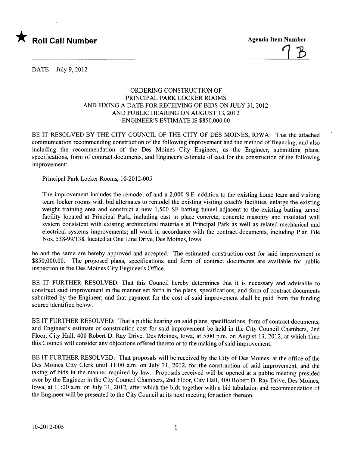

<u>| D</u>

DATE July 9, 2012

## ORDERING CONSTRUCTION OF PRICIPAL PARK LOCKER ROOMS AND FIXING A DATE FOR RECEIVING OF BIDS ON JULY 31, 2012 AND PUBLIC HEARING ON AUGUST 13, 2012 ENGINEER'S ESTIMATE IS \$850,000.00

BE IT RESOLVED BY THE CITY COUNCIL OF THE CITY OF DES MOINES, IOWA: That the attached communication recommending construction of the following improvement and the method of financing; and also including the recommendation of the Des Moines City Engineer, as the Engineer, submitting plans, specifications, form of contract documents, and Engineer's estimate of cost for the construction of the following improvement:

Principal Park Locker Rooms, 10-2012-005

The improvement includes the remodel of and a 2,000 S.F. addition to the existing home team and visiting team locker rooms with bid alternates to remodel the existing visiting coach's facilities, enlarge the existing weight training area and construct a new 1,500 SF batting tunnel adjacent to the existing batting tunnel facility located at Principal Park, including cast in place concrete, concrete masonry and insulated wall system consistent with existing architectural materials at Principal Park as well as related mechanical and electrical systems improvements; all work in accordance with the contract documents, including Plan File Nos. 538-99/138, located at One Line Drive, Des Moines, Iowa

be and the same are hereby approved and accepted. The estimated construction cost for said improvement is \$850,000.00. The proposed plans, specifications, and form of contract documents are available for public inspection in the Des Moines City Engineer's Office.

BE IT FURTHER RESOLVED: That this Council hereby determines that it is necessary and advisable to construct said improvement in the manner set forth in the plans, specifications, and form of contract documents submitted by the Engineer; and that payment for the cost of said improvement shall be paid from the funding source identified below.

BE IT FURTHER RESOLVED: That a public hearing on said plans, specifications, form of contract documents, and Engineer's estimate of construction cost for said improvement be held in the City Council Chambers, 2nd Floor, City Hall, 400 Robert D. Ray Drive, Des Moines, Iowa, at 5:00 p.m. on August 13, 2012, at which time this Council will consider any objections offered thereto or to the making of said improvement.

BE IT FURTHER RESOLVED: That proposals will be received by the City of Des Moines, at the office of the Des Moines City Clerk until 11:00 a.m. on July 31, 2012, for the construction of said improvement, and the taking of bids in the manner required by law. Proposals received will be opened at a public meeting presided over by the Engineer in the City Council Chambers, 2nd Floor, City Hall, 400 Robert D. Ray Drive, Des Moines, Iowa, at 11:00 a.m. on July 31,2012, after which the bids together with a bid tabulation and recommendation of the Engineer wil be presented to the City Council at its next meeting for action thereon.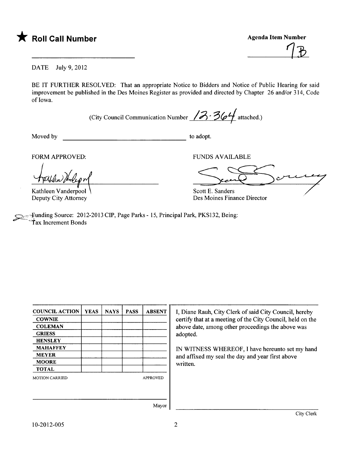

 $\frac{1}{2}$ 

DATE July 9,2012

BE IT FURTHER RESOLVED: That an appropriate Notice to Bidders and Notice of Public Hearing for said improvement be published in the Des Moines Register as provided and directed by Chapter 26 and/or 314, Code of Iowa.

(City Council Communication Number  $/3/3$   $/$ 

Moved by to adopt.

FORM APPROVED:

Kathleen Vanderpool Deputy City Attorney

FUNDS AVAILABLE

JNDS AVAILABLE

Scott E. Sanders Des Moines Finance Director

..funding Source: 2012-2013 CIP, Page Parks - 15, Principal Park, PKS132, Being: Tax Increment Bonds

| <b>COUNCIL ACTION</b> | <b>YEAS</b> | <b>NAYS</b> | <b>PASS</b> | <b>ABSENT</b>   |
|-----------------------|-------------|-------------|-------------|-----------------|
| <b>COWNIE</b>         |             |             |             |                 |
| <b>COLEMAN</b>        |             |             |             |                 |
| <b>GRIESS</b>         |             |             |             |                 |
| <b>HENSLEY</b>        |             |             |             |                 |
| <b>MAHAFFEY</b>       |             |             |             |                 |
| <b>MEYER</b>          |             |             |             |                 |
| <b>MOORE</b>          |             |             |             |                 |
| <b>TOTAL</b>          |             |             |             |                 |
| <b>MOTION CARRIED</b> |             |             |             | <b>APPROVED</b> |
|                       |             |             |             |                 |
|                       |             |             |             |                 |

I, Diane Rauh, City Clerk of said City Council, hereby certify that at a meeting of the City Council, held on the above date, among other proceedings the above was adopted.

IN WITNESS WHEREOF, I have hereunto set my hand and affixed my seal the day and year first above written.

Mayor